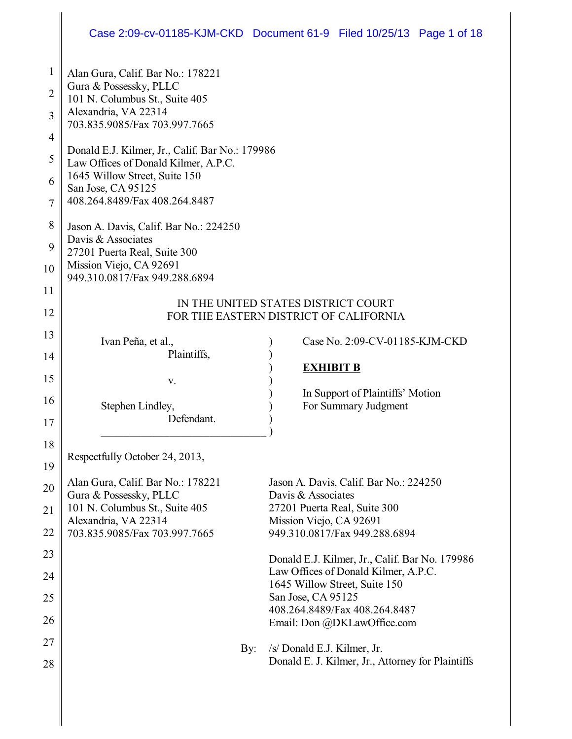## Case 2:09-cv-01185-KJM-CKD Document 61-9 Filed 10/25/13 Page 1 of 18

| $\mathbf{1}$   | Alan Gura, Calif. Bar No.: 178221                                             |                                                     |  |
|----------------|-------------------------------------------------------------------------------|-----------------------------------------------------|--|
| 2              | Gura & Possessky, PLLC                                                        |                                                     |  |
|                | 101 N. Columbus St., Suite 405<br>Alexandria, VA 22314                        |                                                     |  |
| 3              | 703.835.9085/Fax 703.997.7665                                                 |                                                     |  |
| $\overline{4}$ | Donald E.J. Kilmer, Jr., Calif. Bar No.: 179986                               |                                                     |  |
| 5              | Law Offices of Donald Kilmer, A.P.C.                                          |                                                     |  |
| 6              | 1645 Willow Street, Suite 150<br>San Jose, CA 95125                           |                                                     |  |
| 7              | 408.264.8489/Fax 408.264.8487                                                 |                                                     |  |
| 8              |                                                                               |                                                     |  |
|                | Jason A. Davis, Calif. Bar No.: 224250<br>Davis & Associates                  |                                                     |  |
| 9              | 27201 Puerta Real, Suite 300                                                  |                                                     |  |
| 10             | Mission Viejo, CA 92691<br>949.310.0817/Fax 949.288.6894                      |                                                     |  |
| 11             |                                                                               |                                                     |  |
| 12             | IN THE UNITED STATES DISTRICT COURT<br>FOR THE EASTERN DISTRICT OF CALIFORNIA |                                                     |  |
| 13             |                                                                               |                                                     |  |
| 14             | Ivan Peña, et al.,<br>Plaintiffs,                                             | Case No. 2:09-CV-01185-KJM-CKD                      |  |
|                |                                                                               | <b>EXHIBIT B</b>                                    |  |
| 15             | V.                                                                            | In Support of Plaintiffs' Motion                    |  |
| 16             | Stephen Lindley,                                                              | For Summary Judgment                                |  |
| 17             | Defendant.                                                                    |                                                     |  |
| 18             |                                                                               |                                                     |  |
| 19             | Respectfully October 24, 2013,                                                |                                                     |  |
| 20             | Alan Gura, Calif. Bar No.: 178221                                             | Jason A. Davis, Calif. Bar No.: 224250              |  |
|                | Gura & Possessky, PLLC<br>101 N. Columbus St., Suite 405                      | Davis & Associates<br>27201 Puerta Real, Suite 300  |  |
| 21             | Alexandria, VA 22314                                                          | Mission Viejo, CA 92691                             |  |
| 22             | 703.835.9085/Fax 703.997.7665                                                 | 949.310.0817/Fax 949.288.6894                       |  |
| 23             |                                                                               | Donald E.J. Kilmer, Jr., Calif. Bar No. 179986      |  |
| 24             |                                                                               | Law Offices of Donald Kilmer, A.P.C.                |  |
| 25             |                                                                               | 1645 Willow Street, Suite 150<br>San Jose, CA 95125 |  |
| 26             |                                                                               | 408.264.8489/Fax 408.264.8487                       |  |
|                |                                                                               | Email: Don @DKLawOffice.com                         |  |
| 27             | By:                                                                           | /s/ Donald E.J. Kilmer, Jr.                         |  |
| 28             |                                                                               | Donald E. J. Kilmer, Jr., Attorney for Plaintiffs   |  |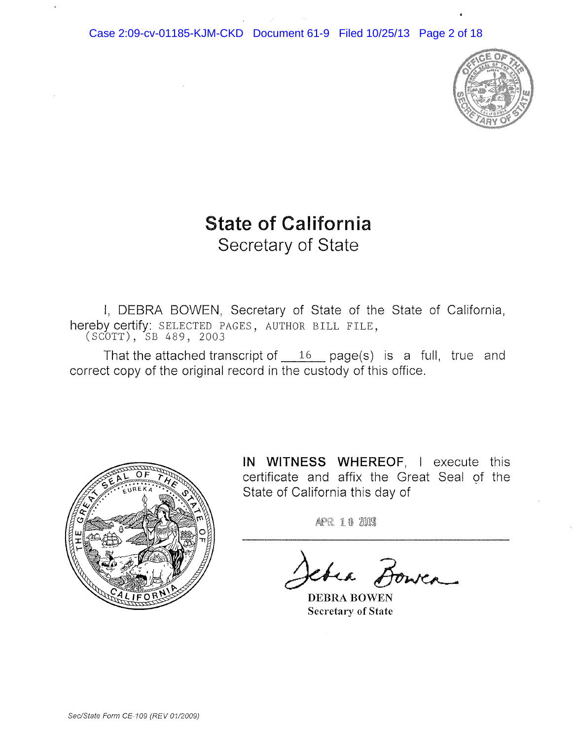

# **State of California** Secretary of State

I, DEBRA BOWEN, Secretary of State of the State of California, hereby certify: SELECTED PAGES, AUTHOR BILL FILE, (SCOTT), SB 489, 2003

That the attached transcript of  $16$  page(s) is a full, true and correct copy of the original record in the custody of this office.



**IN WITNESS WHEREOF,** I execute this certificate and affix the Great Seal of the State of California this day of

APR 10 2003

chea Bowea

DEBRA BOWEN Secretary of State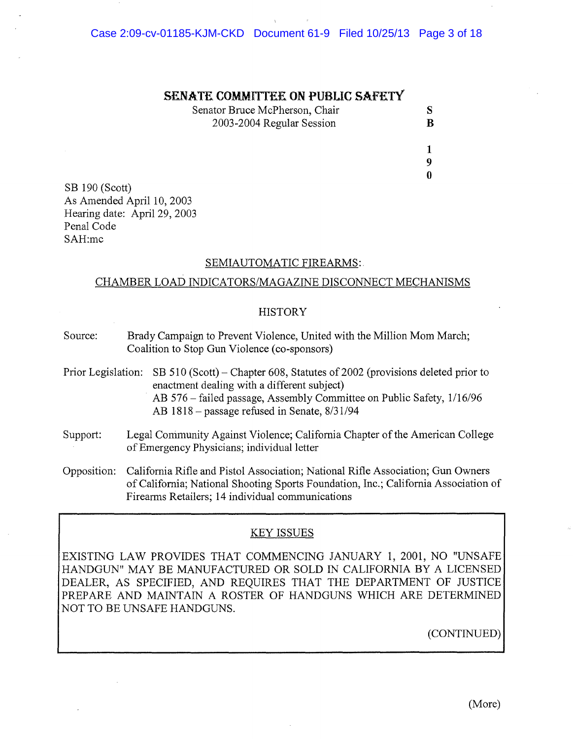#### **SENATE COMMlTfEE ON PUBUC SAFETY**

| Senator Bruce McPherson, Chair |   |
|--------------------------------|---|
| 2003-2004 Regular Session      | B |

1 9  $\mathbf{0}$ 

SB 190 (Scott) As Amended April 10, 2003 Hearing date: April 29, 2003 Penal Code SAH:mc

#### SEMIAUTOMATIC FIREARMS:

#### CHAMBER LOAD INDICATORS/MAGAZINE DISCONNECT MECHANISMS

#### **HISTORY**

- Source: Brady Campaign to Prevent Violence, United with the Million Mom March; Coalition to Stop Gun Violence (co-sponsors)
- Prior Legislation: SB 510 (Scott) Chapter 608, Statutes of 2002 (provisions deleted prior to enactment dealing with a different subject) AB 576 - failed passage, Assembly Committee on Public Safety, 1/16/96 AB 1818 - passage refused in Senate, 8/31/94
- Support: Legal Community Against Violence; California Chapter of the American College of Emergency Physicians; individual letter
- Opposition: California Rifle and Pistol Association; National Rifle Association; Gun Owners ofCalifornia; National Shooting Sports Foundation, Inc.; California Association of Firearms Retailers; 14 individual communications

#### KEY ISSUES

EXISTING LAW PROVIDES THAT COMMENCING JANUARY 1, 2001, NO "UNSAFE HANDGUN" MAY BE MANUFACTURED OR SOLD IN CALIFORNIA BY A LICENSED DEALER, AS SPECIFIED, AND REQUIRES THAT THE DEPARTMENT OF JUSTICE PREPARE AND MAINTAIN A ROSTER OF HANDGUNS WHICH ARE DETERMINED NOT TO BE UNSAFE HANDGUNS.

(CONTINUED)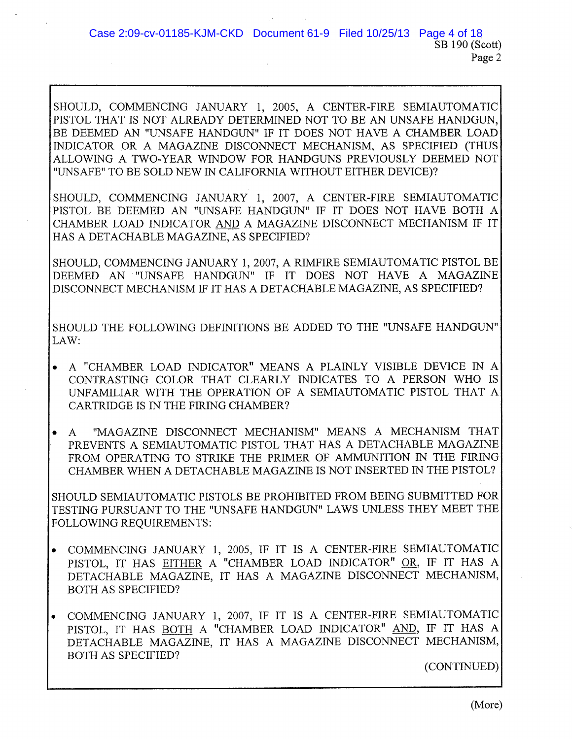SHOULD, COMMENCING JANUARY 1, 2005, A CENTER-FIRE SEMIAUTOMATIC PISTOL THAT IS NOT ALREADY DETERMINED NOT TO BE AN UNSAFE HANDGUN, BE DEEMED AN "UNSAFE HANDGUN" IF IT DOES NOT HAVE A CHAMBER LOAD INDICATOR OR A MAGAZINE DISCONNECT MECHANISM, AS SPECIFIED (THUS ALLOWING A TWO-YEAR WINDOW FOR HANDGUNS PREVIOUSLY DEEMED NOT "UNSAFE" TO BE SOLD NEW IN CALIFORNIA WITHOUT EITHER DEVICE)?

SHOULD, COMMENCING JANUARY 1, 2007, A CENTER-FIRE SEMIAUTOMATIC PISTOL BE DEEMED AN "UNSAFE HANDGUN" IF IT DOES NOT HAVE BOTH A CHAMBER LOAD INDICATOR AND A MAGAZINE DISCONNECT MECHANISM IF IT HAS A DETACHABLE MAGAZINE, AS SPECIFIED?

SHOULD, COMMENCING JANUARY 1,2007, A RIMFIRE SEMIAUTOMATIC PISTOL BE DEEMED AN "UNSAFE HANDGUN" IF IT DOES NOT HAVE A MAGAZINE DISCONNECT MECHANISM IF IT HAS A DETACHABLE MAGAZINE, AS SPECIFIED?

SHOULD THE FOLLOWING DEFINITIONS BE ADDED TO THE "UNSAFE HANDGUN" LAW:

- A "CHAMBER LOAD INDICATOR" MEANS A PLAINLY VISIBLE DEVICE IN A CONTRASTING COLOR THAT CLEARLY INDICATES TO A PERSON WHO IS UNFAMILIAR WITH THE OPERATION OF A SEMIAUTOMATIC PISTOL THAT A CARTRIDGE IS IN THE FIRING CHAMBER?
- A "MAGAZINE DISCONNECT MECHANISM" MEANS A MECHANISM THAT PREVENTS A SEMIAUTOMATIC PISTOL THAT HAS A DETACHABLE MAGAZINE FROM OPERATING TO STRIKE THE PRIMER OF AMMUNITION IN THE FIRING CHAMBER WHEN A DETACHABLE MAGAZINE IS NOT INSERTED IN THE PISTOL?

SHOULD SEMIAUTOMATIC PISTOLS BE PROHIBITED FROM BEING SUBMITTED FOR TESTING PURSUANT TO THE "UNSAFE HANDGUN" LAWS UNLESS THEY MEET THE FOLLOWING REQUIREMENTS:

- COMMENCING JANUARY 1, 2005, IF IT IS A CENTER-FIRE SEMIAUTOMATIC PISTOL, IT HAS EITHER A "CHAMBER LOAD INDICATOR" OR, IF IT HAS A DETACHABLE MAGAZINE, IT HAS A MAGAZINE DISCONNECT MECHANISM, BOTH AS SPECIFIED?
- COMMENCING JANUARY 1, 2007, IF IT IS A CENTER-FIRE SEMIAUTOMATIC PISTOL, IT HAS BOTH A "CHAMBER LOAD INDICATOR" AND, IF IT HAS A DETACHABLE MAGAZINE, IT HAS A MAGAZINE DISCONNECT MECHANISM, BOTH AS SPECIFIED?

(CONTINUED)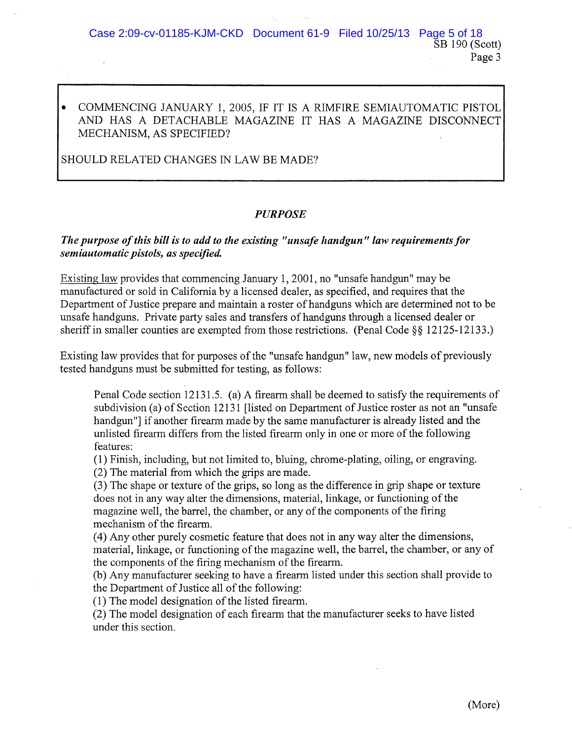## • COMMENCING JANUARY 1, 2005, IF IT IS A RIMFIRE SEMIAUTOMATIC PISTOL AND HAS A DETACHABLE MAGAZINE IT HAS A MAGAZINE DISCONNECT MECHANISM, AS SPECIFIED?

SHOULD RELATED CHANGES IN LAW BE MADE?

## PURPOSE

## *The purpose ofthis bill is to add to the existing "unsafe handgun" law requirementsfor semiautomatic pistols, as specified.*

Existing law provides that commencing January 1, 2001, no "unsafe handgun" may be manufactured or sold in California by a licensed dealer, as specified, and requires that the Department of Justice prepare and maintain a roster of handguns which are determined not to be unsafe handguns. Private party sales and transfers of handguns through a licensed dealer or sheriff in smaller counties are exempted from those restrictions. (Penal Code  $\S$ § 12125-12133.)

Existing law provides that for purposes of the "unsafe handgun" law, new models of previously tested handguns must be submitted for testing, as follows:

Penal Code section 12131.5. (a) A firearm shall be deemed to satisfy the requirements of subdivision (a) of Section 12131 [listed on Department of Justice roster as not an "unsafe" handgun"] if another firearm made by the same manufacturer is already listed and the unlisted firearm differs from the listed firearm only in one or more ofthe following features:

(1) Finish, including, but not limited to, bluing, chrome-plating, oiling, or engraving. (2) The material from which the grips are made.

(3) The shape or texture of the grips, so long as the difference in grip shape or texture does not in any way alter the dimensions, material, linkage, or functioning of the magazine well, the barrel, the chamber, or any of the components of the firing

mechanism of the firearm.

(4) Any other purely cosmetic feature that does not in any way alter the dimensions, material, linkage, or functioning of the magazine well, the barrel, the chamber, or any of the components of the firing mechanism of the firearm.

(b) Any manufacturer seeking to have a firearm listed under this section shall provide to the Department of Justice all of the following:

 $(1)$  The model designation of the listed firearm.

(2) The model designation of each firearm that the manufacturer seeks to have listed under this section.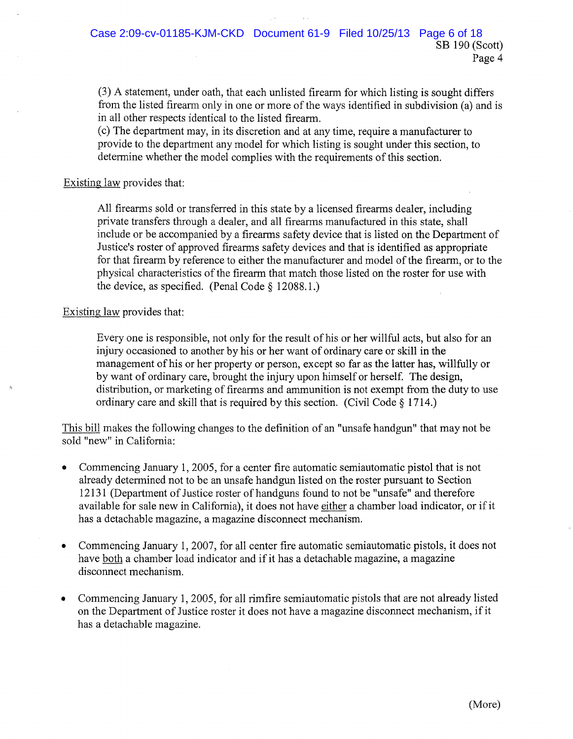(3) A statement, under oath, that each unlisted firearm for which listing is sought differs from the listed firearm only in one or more of the ways identified in subdivision (a) and is in all other respects identical to the listed firearm.

(c) The department may, in its discretion and at any time, require a manufacturer to provide to the department any model for which listing is sought under this section, to determine whether the model complies with the requirements of this section.

#### Existing law provides that:

All firearms sold or transferred in this state by a licensed firearms dealer, including private transfers through a dealer, and all firearms manufactured in this state, shall include or be accompanied by a firearms safety device that is listed on the Department of Justice's roster of approved firearms safety devices and that is identified as appropriate for that firearm by reference to either the manufacturer and model of the firearm, or to the physical characteristics of the firearm that match those listed on the roster for use with the device, as specified. (Penal Code § 12088.1.)

#### Existing law provides that:

Every one is responsible, not only for the result of his or her willful acts, but also for an injury occasioned to another by his or her want of ordinary care or skill in the management of his or her property or person, except so far as the latter has, willfully or by want of ordinary care, brought the injury upon himself or herself. The design, distribution, or marketing of firearms and ammunition is not exempt from the duty to use ordinary care and skill that is required by this section. (Civil Code § 1714.)

This bill makes the following changes to the definition of an "unsafe handgun" that may not be sold "new" in California:

- Commencing January 1,2005, for a center fire automatic semiautomatic pistol that is not already determined not to be an unsafe handgun listed on the roster pursuant to Section 12131 (Department of Justice roster of handguns found to not be "unsafe" and therefore available for sale new in California), it does not have either a chamber load indicator, or if it has a detachable magazine, a magazine disconnect mechanism.
- Commencing January 1, 2007, for all center fire automatic semiautomatic pistols, it does not have both a chamber load indicator and if it has a detachable magazine, a magazine disconnect mechanism.
- Commencing January 1,2005, for all rimfire semiautomatic pistols that are not already listed on the Department of Justice roster it does not have a magazine disconnect mechanism, if it has a detachable magazine.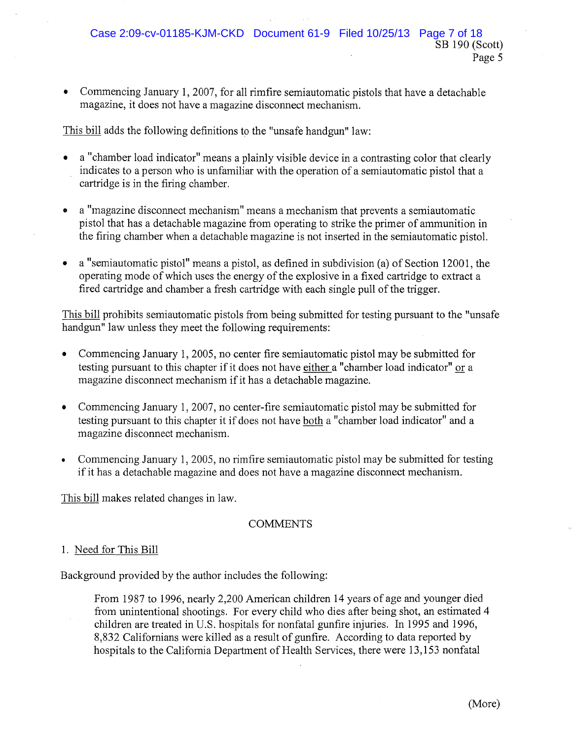• Commencing January **1,** 2007, for all rimfire semiautomatic pistols that have a detachable magazine, it does not have a magazine disconnect mechanism.

This bill adds the following definitions to the "unsafe handgun" law:

- a "chamber load indicator" means a plainly visible device in a contrasting color that clearly indicates to a person who is unfamiliar with the operation of a semiautomatic pistol that a cartridge is in the firing chamber.
- a "magazine disconnect mechanism" means a mechanism that prevents a semiautomatic pistol that has a detachable magazine from operating to strike the primer of ammunition in the firing chamber when a detachable magazine is not inserted in the semiautomatic pistol.
- a "semiautomatic pistol" means a pistol, as defined in subdivision (a) of Section 12001, the operating mode of which uses the energy of the explosive in a fixed cartridge to extract a fired cartridge and chamber a fresh cartridge with each single pull of the trigger.

This bill prohibits semiautomatic pistols from being submitted for testing pursuant to the "unsafe handgun" law unless they meet the following requirements:

- Commencing January 1,2005, no center fire semiautomatic pistol may be submitted for testing pursuant to this chapter if it does not have either a "chamber load indicator" or a magazine disconnect mechanism if it has a detachable magazine.
- Commencing January 1, 2007, no center-fire semiautomatic pistol may be submitted for testing pursuant to this chapter it if does not have both a "chamber load indicator" and a magazine disconnect mechanism.
- Commencing January 1,2005, no rimfire semiautomatic pistol may be submitted for testing if it has a detachable magazine and does not have a magazine disconnect mechanism.

This bill makes related changes in law.

#### **COMMENTS**

#### 1. Need for This Bill

Background provided by the author includes the following:

From 1987 to 1996, nearly 2,200 American children 14 years of age and younger died from unintentional shootings. For every child who dies after being shot, an estimated 4 children are treated in U.S. hospitals for nonfatal gunfire injuries. In 1995 and 1996, 8,832 Californians were killed as a result of gunfire. According to data reported by hospitals to the California Department of Health Services, there were 13,153 nonfatal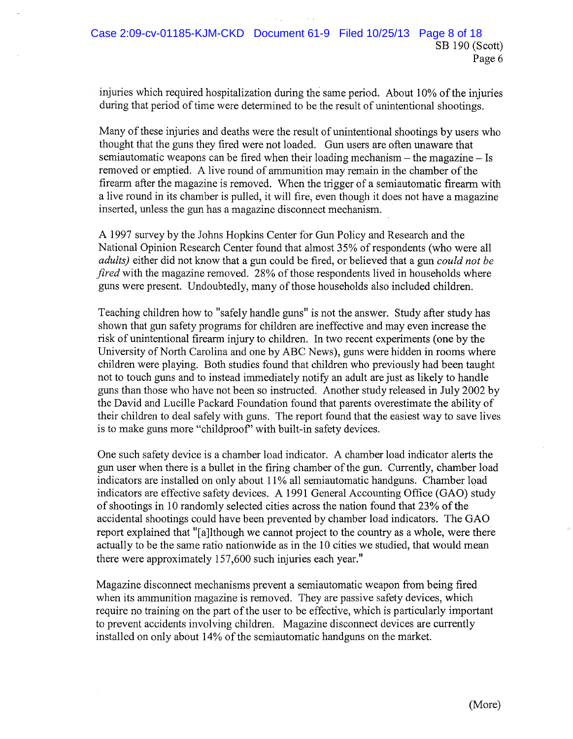injuries which required hospitalization during the same period. About 10% of the injuries during that period of time were determined to be the result of unintentional shootings.

Many of these injuries and deaths were the result of unintentional shootings by users who thought that the guns they fired were not loaded. Gun users are often unaware that semiautomatic weapons can be fired when their loading mechanism – the magazine – Is removed or emptied. A live round of ammunition may remain in the chamber of the firearm after the magazine is removed. When the trigger of a semiautomatic firearm with a live round in its chamber is pulled, it will fire, even though it does not have a magazine inserted, unless the gun has a magazine disconnect mechanism.

A 1997 survey by the Johns Hopkins Center for Gun Policy and Research and the National Opinion Research Center found that almost 35% ofrespondents (who were all *adults)* either did not know that a gun could be fired, or believed that a gun *could not be fired* with the magazine removed. 28% of those respondents lived in households where guns were present. Undoubtedly, many of those households also included children.

Teaching children how to "safely handle guns" is not the answer. Study after study has shown that gun safety programs for children are ineffective and may even increase the risk of unintentional firearm injury to children. In two recent experiments (one by the University of North Carolina and one by ABC News), guns were hidden in rooms where children were playing. Both studies found that children who previously had been taught not to touch guns and to instead immediately notify an adult are just as likely to handle guns than those who have not been so instructed. Another study released in July 2002 by the David and Lucille Packard Foundation found that parents overestimate the ability of their children to deal safely with guns. The report found that the easiest way to save lives is to make guns more "childproof' with built-in safety devices.

One such safety device is a chamber load indicator. A chamber load indicator alerts the gun user when there is a bullet in the firing chamber ofthe gun. Currently, chamber load indicators are installed on only about 11% all semiautomatic handguns. Chamber load indicators are effective safety devices. A 1991 General Accounting Office (GAO) study of shootings in 10 randomly selected cities across the nation found that 23% of the accidental shootings could have been prevented by chamber load indicators. The GAO report explained that "[a]lthough we cannot project to the country as a whole, were there actually to be the same ratio nationwide as in the 10 cities we studied, that would mean there were approximately 157,600 such injuries each year."

Magazine disconnect mechanisms prevent a semiautomatic weapon from being fired when its ammunition magazine is removed. They are passive safety devices, which require no training on the part of the user to be effective, which is particularly important to prevent accidents involving children. Magazine disconnect devices are currently installed on only about 14% of the semiautomatic handguns on the market.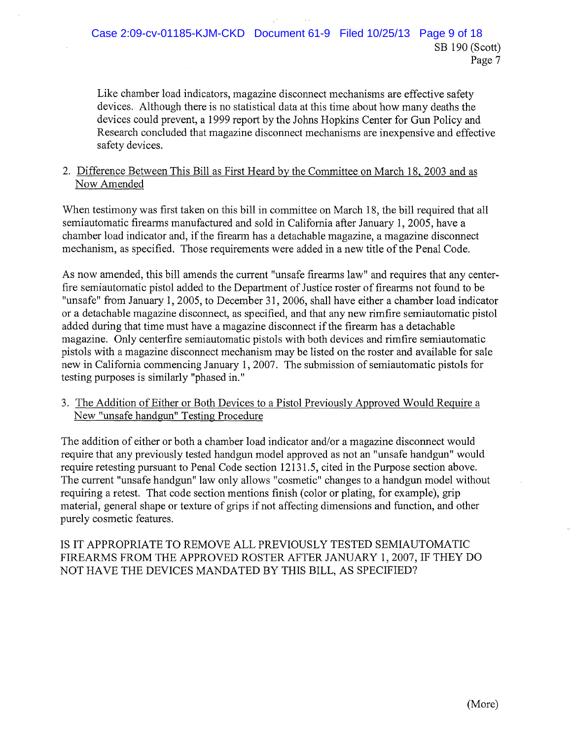Like chamber load indicators, magazine disconnect mechanisms are effective safety devices. Although there is no statistical data at this time about how many deaths the devices could prevent, a 1999 report by the Johns Hopkins Center for Gun Policy and Research concluded that magazine disconnect mechanisms are inexpensive and effective safety devices.

## 2. Difference Between This Bill as First Heard by the Committee on March 18, 2003 and as Now Amended

When testimony was first taken on this bill in committee on March 18, the bill required that all semiautomatic firearms manufactured and sold in California after January 1,2005, have a chamber load indicator and, ifthe firearm has a detachable magazine, a magazine disconnect mechanism, as specified. Those requirements were added in a new title of the Penal Code.

As now amended, this bill amends the current "unsafe firearms law" and requires that any centerfire semiautomatic pistol added to the Department of Justice roster of firearms not found to be "unsafe" from January 1, 2005, to December 31, 2006, shall have either a chamber load indicator or a detachable magazine disconnect, as specified, and that any new rimfire semiautomatic pistol added during that time must have a magazine disconnect if the firearm has a detachable magazine. Only centerfire semiautomatic pistols with both devices and rimfire semiautomatic pistols with a magazine disconnect mechanism may be listed on the roster and available for sale new in California commencing January 1, 2007. The submission of semiautomatic pistols for testing purposes is similarly "phased in."

3. The Addition of Either or Both Devices to a Pistol Previously Approved Would Require a New "unsafe handgun" Testing Procedure

The addition of either or both a chamber load indicator and/or a magazine disconnect would require that any previously tested handgun model approved as not an "unsafe handgun" would require retesting pursuant to Penal Code section 12131.5, cited in the Purpose section above. The current "unsafe handgun" law only allows "cosmetic" changes to a handgun model without requiring a retest. That code section mentions finish (color or plating, for example), grip material, general shape or texture of grips if not affecting dimensions and function, and other purely cosmetic features.

IS IT APPROPRIATE TO REMOVE ALL PREVIOUSLY TESTED SEMIAUTOMATIC FIREARMS FROM THE APPROVED ROSTER AFTER JANUARY 1,2007, IF THEY DO NOT HAVE THE DEVICES MANDATED BY THIS BILL, AS SPECIFIED?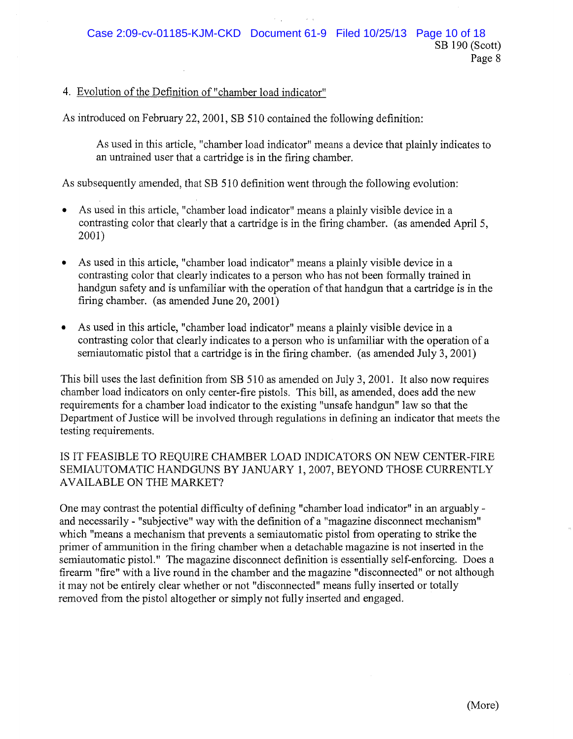#### 4. Evolution of the Definition of "chamber load indicator"

As introduced on February 22,2001, SB 510 contained the following definition:

As used in this article, "chamber load indicator" means a device that plainly indicates to an untrained user that a cartridge is in the firing chamber.

As subsequently amended, that SB 510 definition went through the following evolution:

- As used in this article, "chamber load indicator" means a plainly visible device in a contrasting color that clearly that a cartridge is in the firing chamber. (as amended April 5, 2001)
- As used in this article, "chamber load indicator" means a plainly visible device in a contrasting color that clearly indicates to a person who has not been formally trained in handgun safety and is unfamiliar with the operation of that handgun that a cartridge is in the firing chamber. (as amended June 20,2001)
- As used in this article, "chamber load indicator" means a plainly visible device in a contrasting color that clearly indicates to a person who is unfamiliar with the operation of a semiautomatic pistol that a cartridge is in the firing chamber. (as amended July 3,2001)

This bill uses the last definition from SB 510 as amended on July 3,2001. It also now requires chamber load indicators on only center-fire pistols. This bill, as amended, does add the new requirements for a chamber load indicator to the existing "unsafe handgun" law so that the Department of Justice will be involved through regulations in defining an indicator that meets the testing requirements.

## IS IT FEASIBLE TO REQUIRE CHAMBER LOAD INDICATORS ON NEW CENTER-FIRE SEMIAUTOMATIC HANDGUNS BY JANUARY 1,2007, BEYOND THOSE CURRENTLY AVAILABLE ON THE MARKET?

One may contrast the potential difficulty of defining "chamber load indicator" in an arguablyand necessarily - "subjective" way with the definition of a "magazine disconnect mechanism" which "means a mechanism that prevents a semiautomatic pistol from operating to strike the primer of ammunition in the firing chamber when a detachable magazine is not inserted in the semiautomatic pistol." The magazine disconnect definition is essentially self-enforcing. Does a firearm "fire" with a live round in the chamber and the magazine "disconnected" or not although it may not be entirely clear whether or not "disconnected" means fully inserted or totally removed from the pistol altogether or simply not fully inserted and engaged.

Page 8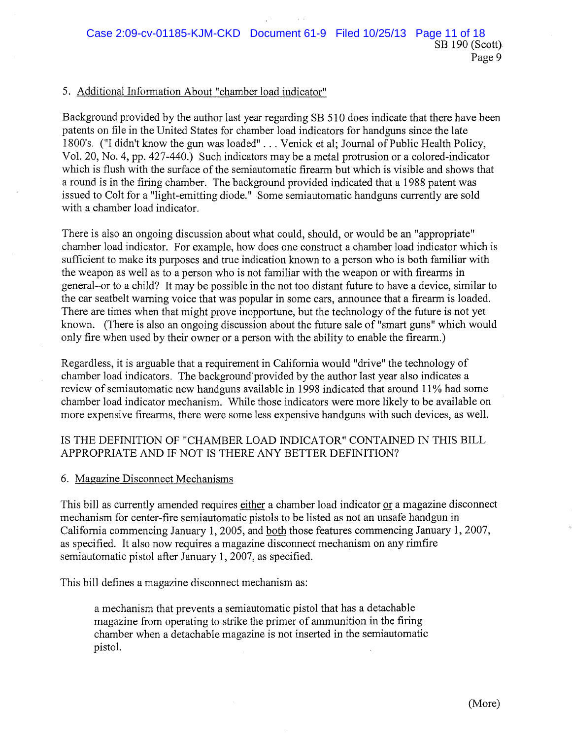#### 5. Additional Information About "chamber load indicator"

Background provided by the author last year regarding SB 510 does indicate that there have been patents on file in the United States for chamber load indicators for handguns since the late 1800's. ("I didn't know the gun was loaded" ... Venick et al; Journal of Public Health Policy, Vol. 20, No.4, pp. 427-440.) Such indicators may be a metal protrusion or a colored-indicator which is flush with the surface of the semiautomatic firearm but which is visible and shows that a round is in the firing chamber. The background provided indicated that a 1988 patent was issued to Colt for a "light-emitting diode." Some semiautomatic handguns currently are sold with a chamber load indicator.

There is also an ongoing discussion about what could, should, or would be an "appropriate" chamber load indicator. For example, how does one construct a chamber load indicator which is sufficient to make its purposes and true indication known to a person who is both familiar with the weapon as well as to a person who is not familiar with the weapon or with firearms in general-or to a child? It may be possible in the not too distant future to have a device, similar to the car seatbelt warning voice that was popular in some cars, announce that a firearm is loaded. There are times when that might prove inopportune, but the technology of the future is not yet known. (There is also an ongoing discussion about the future sale of "smart guns" which would only fire when used by their owner or a person with the ability to enable the firearm.)

Regardless, it is arguable that a requirement in California would "drive" the technology of chamber load indicators. The background'provided by the author last year also indicates a review of semiautomatic new handguns available in 1998 indicated that around 11% had some chamber load indicator mechanism. While those indicators were more likely to be available on more expensive firearms, there were some less expensive handguns with such devices, as well.

## IS THE DEFINITION OF "CHAMBER LOAD INDICATOR" CONTAINED IN THIS BILL APPROPRIATE AND IF NOT IS THERE ANY BETTER DEFINITION?

#### 6. Magazine Disconnect Mechanisms

This bill as currently amended requires either a chamber load indicator or a magazine disconnect mechanism for center-fire semiautomatic pistols to be listed as not an unsafe handgun in California commencing January 1,2005, and both those features commencing January 1, 2007, as specified. It also now requires a magazine disconnect mechanism on any rimfire semiautomatic pistol after January 1, 2007, as specified.

This bill defines a magazine disconnect mechanism as:

a mechanism that prevents a semiautomatic pistol that has a detachable magazine from operating to strike the primer of ammunition in the firing chamber when a detachable magazine is not inserted in the semiautomatic pistol.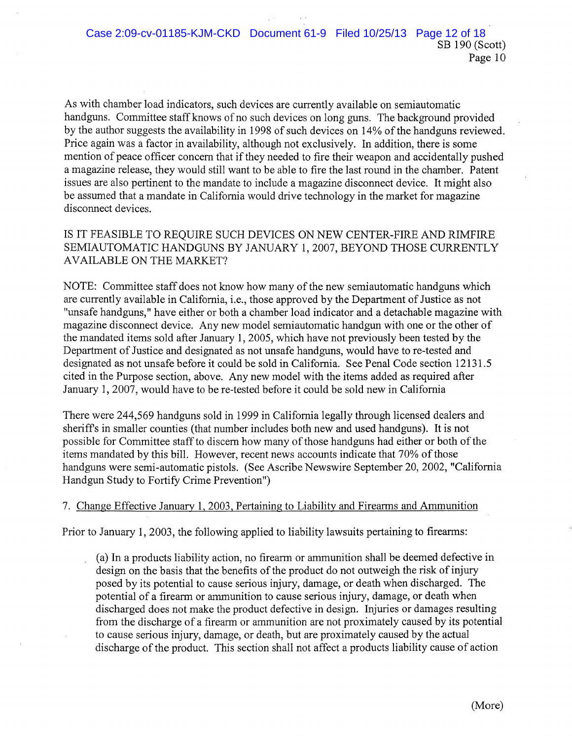As with chamber load indicators, such devices are currently available on semiautomatic handguns. Committee staff knows of no such devices on long guns. The background provided by the author suggests the availability in 1998 of such devices on 14% of the handguns reviewed. Price again was a factor in availability, although not exclusively. In addition, there is some mention of peace officer concern that if they needed to fire their weapon and accidentally pushed a magazine release, they would still want to be able to fire the last round in the chamber. Patent issues are also pertinent to the mandate to include a magazine disconnect device. It might also be assumed that a mandate in California would drive technology in the market for magazine disconnect devices.

IS IT FEASIBLE TO REQUIRE SUCH DEVICES ON NEW CENTER-FIRE AND RIMFIRE SEMIAUTOMATIC HANDGUNS BY JANUARY 1,2007, BEYOND THOSE CURRENTLY AVAILABLE ON THE MARKET?

NOTE: Committee staff does not know how many of the new semiautomatic handguns which are currently available in California, i.e., those approved by the Department of Justice as not "unsafe handguns," have either or both a chamber load indicator and a detachable magazine with magazine disconnect device. Any new model semiautomatic handgun with one or the other of the mandated items sold after January 1,2005, which have not previously been tested by the Department of Justice and designated as not unsafe handguns, would have to re-tested and designated as not unsafe before it could be sold in California. See Penal Code section 12131.5 cited in the Purpose section, above. Any new model with the items added as required after January 1, 2007, would have to be re-tested before it could be sold new in California

There were 244,569 handguns sold in 1999 in California legally through licensed dealers and sheriffs in smaller counties (that number includes both new and used handguns). It is not possible for Committee staff to discern how many of those handguns had either or both of the items mandated by this bill. However, recent news accounts indicate that 70% of those handguns were semi-automatic pistols. (See Ascribe Newswire September 20, 2002, "California Handgun Study to Fortify Crime Prevention")

#### 7. Change Effective January 1, 2003, Pertaining to Liability and Firearms and Ammunition

Prior to January 1,2003, the following applied to liability lawsuits pertaining to firearms:

(a) In a products liability action, no firearm or ammunition shall be deemed defective in design on the basis that the benefits of the product do not outweigh the risk of injury posed by its potential to cause serious injury, damage, or death when discharged. The potential of a firearm or ammunition to cause serious injury, damage, or death when discharged does not make the product defective in design. Injuries or damages resulting from the discharge of a firearm or ammunition are not proximately caused by its potential to cause serious injury, damage, or death, but are proximately caused by the actual discharge of the product. This section shall not affect a products liability cause of action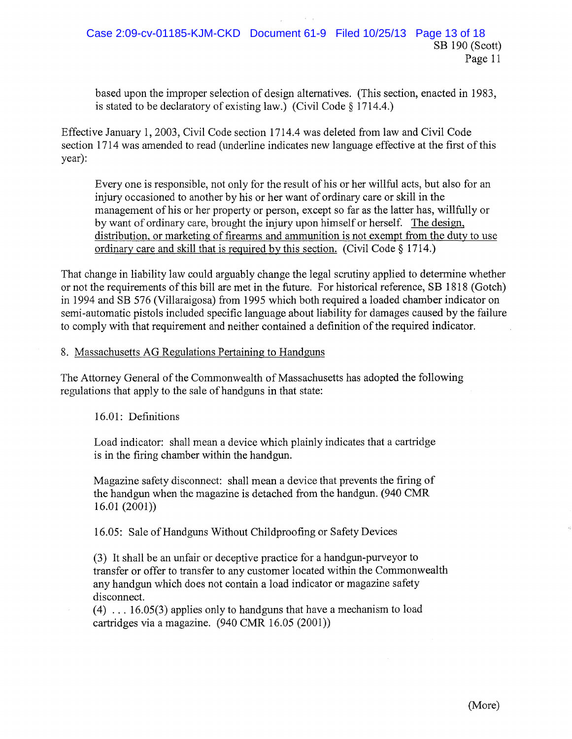based upon the improper selection of design alternatives. (This section, enacted in 1983, is stated to be declaratory of existing law.) (Civil Code § 1714.4.)

Effective January 1,2003, Civil Code section 1714.4 was deleted from law and Civil Code section 1714 was amended to read (underline indicates new language effective at the first of this year):

Everyone is responsible, not only for the result of his or her willful acts, but also for an injury occasioned to another by his or her want of ordinary care or skill in the management of his or her property or person, except so far as the latter has, willfully or by want of ordinary care, brought the injury upon himself or herself. The design, distribution, or marketing of firearms and ammunition is not exempt from the duty to use ordinary care and skill that is required by this section. (Civil Code § 1714.)

That change in liability law could arguably change the legal scrutiny applied to determine whether or not the requirements of this bill are met in the future. For historical reference, SB 1818 (Gotch) in 1994 and SB 576 (Villaraigosa) from 1995 which both required a loaded chamber indicator on semi-automatic pistols included specific language about liability for damages caused by the failure to comply with that requirement and neither contained a definition ofthe required indicator.

#### 8. Massachusetts AG Regulations Pertaining to Handguns

The Attorney General of the Commonwealth of Massachusetts has adopted the following regulations that apply to the sale of handguns in that state:

16.01: Definitions

Load indicator: shall mean a device which plainly indicates that a cartridge is in the firing chamber within the handgun.

Magazine safety disconnect: shall mean a device that prevents the firing of the handgun when the magazine is detached from the handgun. (940 CMR  $16.01 (2001)$ 

16.05: Sale of Handguns Without Childproofing or Safety Devices

(3) It shall be an unfair or deceptive practice for a handgun-purveyor to transfer or offer to transfer to any customer located within the Commonwealth any handgun which does not contain a load indicator or magazine safety disconnect.

 $(4)$  ... 16.05(3) applies only to handguns that have a mechanism to load cartridges via a magazine. (940 CMR 16.05 (2001))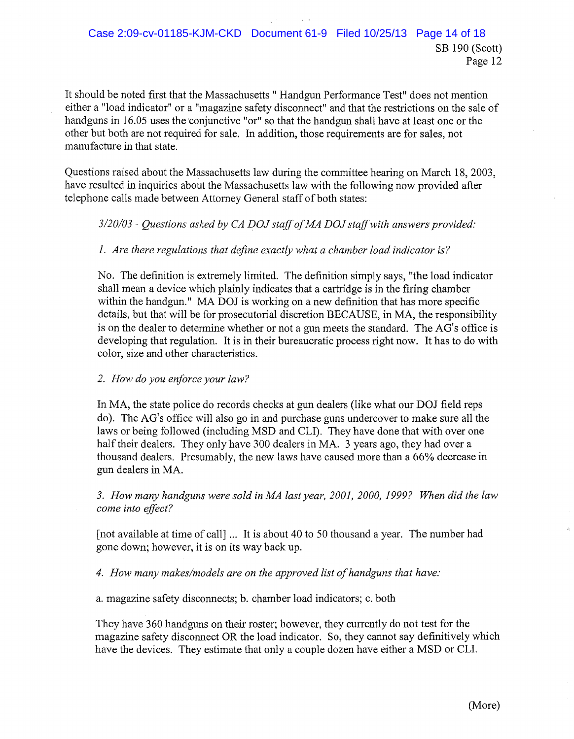It should be noted first that the Massachusetts " Handgun Performance Test" does not mention either a "load indicator" or a "magazine safety disconnect" and that the restrictions on the sale of handguns in 16.05 uses the conjunctive "or" so that the handgun shall have at least one or the other but both are not required for sale. In addition, those requirements are for sales, not manufacture in that state.

Questions raised about the Massachusetts law during the committee hearing on March 18, 2003, have resulted in inquiries about the Massachusetts law with the following now provided after telephone calls made between Attorney General staff of both states:

#### *3/20/03* - *Questions asked by CA DOJ staffofMA DOJ staffwith answers provided:*

#### *1. Are there regulations that define exactly what a chamber load indicator is?*

No. The definition is extremely limited. The definition simply says, "the load indicator shall mean a device which plainly indicates that a cartridge is in the firing chamber within the handgun." MA DOJ is working on a new definition that has more specific details, but that will be for prosecutorial discretion BECAUSE, in MA, the responsibility is on the dealer to determine whether or not a gun meets the standard. The AG's office is developing that regulation. It is in their bureaucratic process right now. It has to do with color, size and other characteristics.

#### *2. How do you enforce your law?*

In MA, the state police do records checks at gun dealers (like what our DOJ field reps do). The AG's office will also go in and purchase guns undercover to make sure all the laws or being followed (including MSD and CLI). They have done that with over one half their dealers. They only have 300 dealers in MA. 3 years ago, they had over a thousand dealers. Presumably, the new laws have caused more than a 66% decrease in gun dealers in MA.

*3. How many handguns were sold in MA last year, 2001, 2000,* 1999? *When did the law come into effect?*

[not available at time of call] ... It is about 40 to 50 thousand a year. The number had gone down; however, it is on its way back up.

*4. How many makes/models are on the approved list ofhandguns that have:*

a. magazine safety disconnects; b. chamber load indicators; c. both

They have 360 handguns on their roster; however, they currently do not test for the magazine safety disconnect OR the load indicator. So, they cannot say definitively which have the devices. They estimate that only a couple dozen have either a MSD or CLI.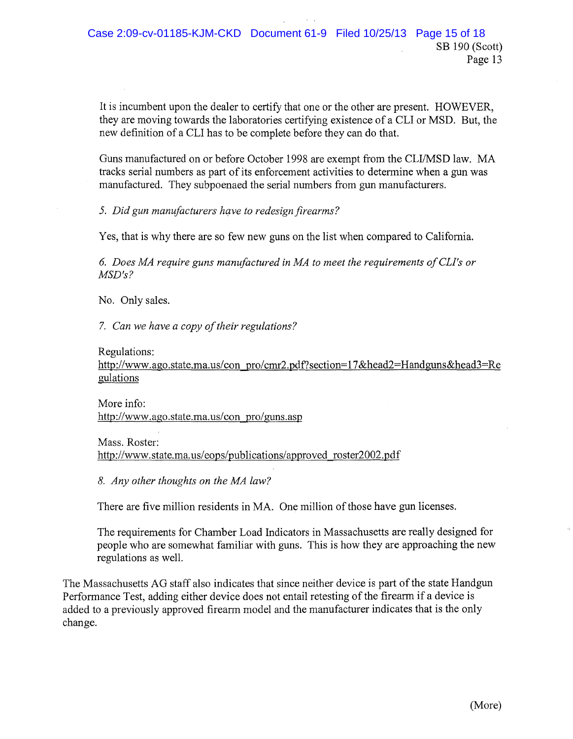It is incumbent upon the dealer to certify that one or the other are present. HOWEVER, they are moving towards the laboratories certifying existence of a CLI or MSD. But, the new definition of a CLI has to be complete before they can do that.

Guns manufactured on or before October 1998 are exempt from the CLI/MSD law. MA tracks serial numbers as part of its enforcement activities to determine when a gun was manufactured. They subpoenaed the serial numbers from gun manufacturers.

*5. Did gun manufacturers have to redesignfirearms?*

Yes, that is why there are so few new guns on the list when compared to California.

*6. Does MA require guns manufactured in MA to meet the requirements ofCLl's or MSD's?*

No. Only sales.

*7. Can we have a copy of their regulations?* 

#### Regulations:

http://www.ago.state.ma.us/con pro/cmr2.pdf?section=17&head2=Handguns&head3=Re gulations

More info: http://www.ago.state.ma.us/con pro/guns.asp

Mass. Roster: http://www.state.ma.us/eops/publications/approved roster2002.pdf

*8. Any other thoughts on the MA law?*

There are five million residents in MA. One million of those have gun licenses.

The requirements for Chamber Load Indicators in Massachusetts are really designed for people who are somewhat familiar with guns. This is how they are approaching the new regulations as well.

The Massachusetts AG staff also indicates that since neither device is part of the state Handgun Performance Test, adding either device does not entail retesting of the firearm if a device is added to a previously approved firearm model and the manufacturer indicates that is the only change.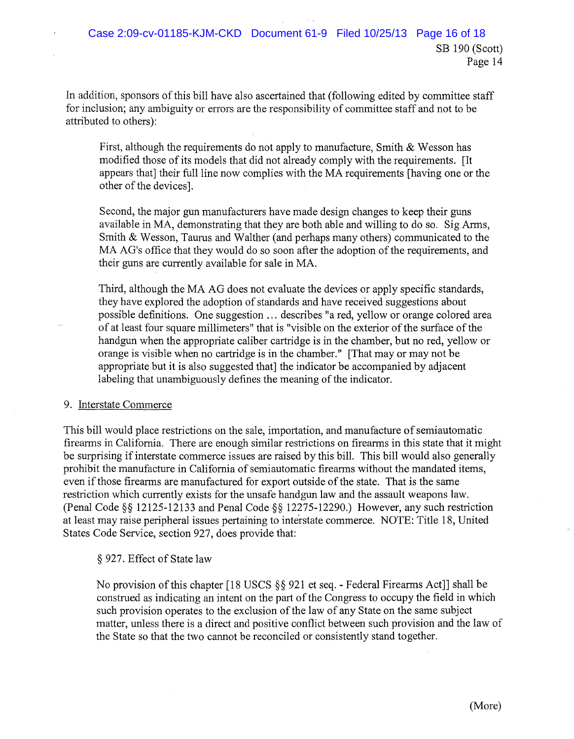Page 14

In addition, sponsors of this bill have also ascertained that (following edited by committee staff for inclusion; any ambiguity or errors are the responsibility of committee staff and not to be attributed to others):

First, although the requirements do not apply to manufacture, Smith & Wesson has modified those of its models that did not already comply with the requirements. [It appears that] their full line now complies with the MA requirements [having one or the other of the devices].

Second, the major gun manufacturers have made design changes to keep their guns available in MA, demonstrating that they are both able and willing to do so. Sig Arms, Smith & Wesson, Taurus and Walther (and perhaps many others) communicated to the MA AG's office that they would do so soon after the adoption of the requirements, and their guns are currently available for sale in MA.

Third, although the MA AG does not evaluate the devices or apply specific standards, they have explored the adoption of standards and have received suggestions about possible definitions. One suggestion ... describes "a red, yellow or orange colored area of at least four square millimeters" that is "visible on the exterior of the surface of the handgun when the appropriate caliber cartridge is in the chamber, but no red, yellow or orange is visible when no cartridge is in the chamber." [That mayor may not be appropriate but it is also suggested that] the indicator be accompanied by adjacent labeling that unambiguously defines the meaning of the indicator.

## 9. Interstate Commerce

This bill would place restrictions on the sale, importation, and manufacture of semiautomatic firearms in California. There are enough similar restrictions on firearms in this state that it might be surprising if interstate commerce issues are raised by this bill. This bill would also generally prohibit the manufacture in California of semiautomatic firearms without the mandated items, even ifthose firearms are manufactured for export outside ofthe state. That is the same restriction which currently exists for the unsafe handgun law and the assault weapons law. (Penal Code §§ 12125-12133 and Penal Code §§ 12275-12290.) However, any such restriction at least may raise peripheral issues pertaining to interstate commerce. NOTE: Title 18, United States Code Service, section 927, does provide that:

## § 927. Effect of State law

No provision of this chapter [18 USCS §§ 921 et seq. - Federal Firearms Act]] shall be construed as indicating an intent on the part of the Congress to occupy the field in which such provision operates to the exclusion of the law of any State on the same subject matter, unless there is a direct and positive conflict between such provision and the law of the State so that the two cannot be reconciled or consistently stand together.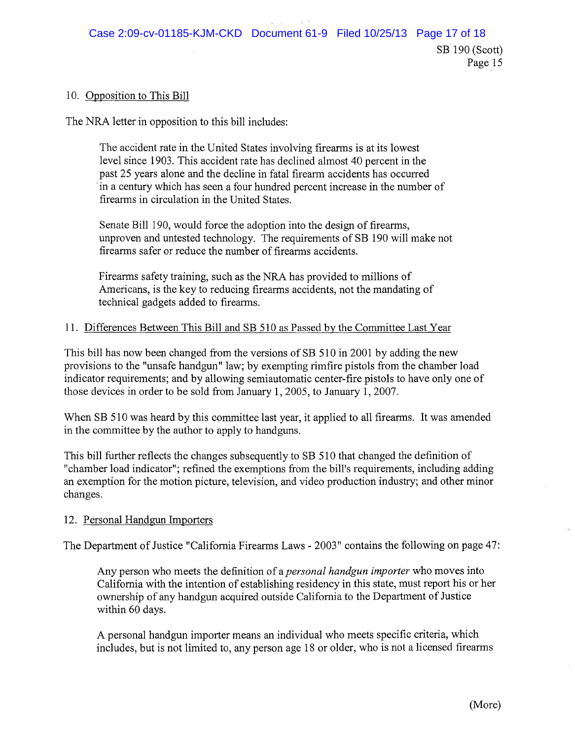#### 10. Opposition to This Bill

The NRA letter in opposition to this bill includes:

The accident rate in the United States involving firearms is at its lowest level since 1903. This accident rate has declined almost 40 percent in the past 25 years alone and the decline in fatal firearm accidents has occurred .in a century which has seen a four hundred percent increase in the number of firearms in circulation in the United States.

Senate Bill 190, would force the adoption into the design of firearms, unproven and untested technology. The requirements of SB 190 will make not firearms safer or reduce the number of firearms accidents.

Firearms safety training, such as the NRA has provided to millions of Americans, is the key to reducing firearms accidents, not the mandating of technical gadgets added to firearms.

#### 11. Differences Between This Bill and SB 510 as Passed by the Committee Last Year

This bill has now been changed from the versions of SB 510 in 2001 by adding the new provisions to the "unsafe handgun" law; by exempting rimfire pistols from the chamber load indicator requirements; and by allowing semiautomatic center-fire pistols to have only one of those devices in order to be sold from January 1, 2005, to January 1,2007.

When SB 510 was heard by this committee last year, it applied to all firearms. It was amended in the committee by the author to apply to handguns.

This bill further reflects the changes subsequently to SB 510 that changed the definition of "chamber load indicator"; refined the exemptions from the bill's requirements, including adding an exemption for the motion picture, television, and video production industry; and other minor changes.

#### 12. Personal Handgun Importers

The Department of Justice "California Firearms Laws - 2003" contains the following on page 47:

Any person who meets the definition of a *personal handgun importer* who moves into California with the intention of establishing residency in this state, must report his or her ownership of any handgun acquired outside California to the Department of Justice within 60 days.

A personal handgun importer means an individual who meets specific criteria, which includes, but is not limited to, any person age 18 or older, who is not a licensed firearms